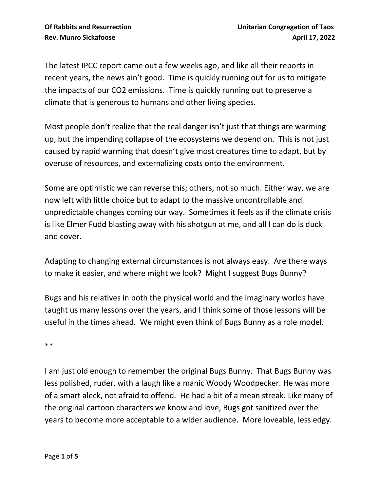The latest IPCC report came out a few weeks ago, and like all their reports in recent years, the news ain't good. Time is quickly running out for us to mitigate the impacts of our CO2 emissions. Time is quickly running out to preserve a climate that is generous to humans and other living species.

Most people don't realize that the real danger isn't just that things are warming up, but the impending collapse of the ecosystems we depend on. This is not just caused by rapid warming that doesn't give most creatures time to adapt, but by overuse of resources, and externalizing costs onto the environment.

Some are optimistic we can reverse this; others, not so much. Either way, we are now left with little choice but to adapt to the massive uncontrollable and unpredictable changes coming our way. Sometimes it feels as if the climate crisis is like Elmer Fudd blasting away with his shotgun at me, and all I can do is duck and cover.

Adapting to changing external circumstances is not always easy. Are there ways to make it easier, and where might we look? Might I suggest Bugs Bunny?

Bugs and his relatives in both the physical world and the imaginary worlds have taught us many lessons over the years, and I think some of those lessons will be useful in the times ahead. We might even think of Bugs Bunny as a role model.

\*\*

I am just old enough to remember the original Bugs Bunny. That Bugs Bunny was less polished, ruder, with a laugh like a manic Woody Woodpecker. He was more of a smart aleck, not afraid to offend. He had a bit of a mean streak. Like many of the original cartoon characters we know and love, Bugs got sanitized over the years to become more acceptable to a wider audience. More loveable, less edgy.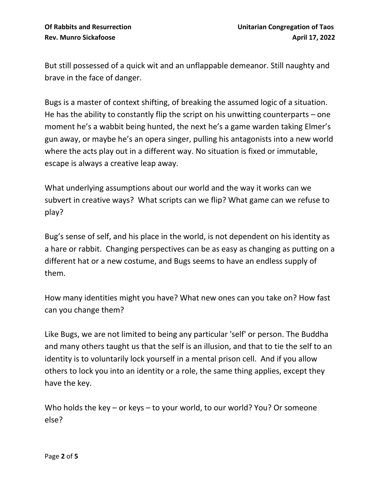But still possessed of a quick wit and an unflappable demeanor. Still naughty and brave in the face of danger.

Bugs is a master of context shifting, of breaking the assumed logic of a situation. He has the ability to constantly flip the script on his unwitting counterparts – one moment he's a wabbit being hunted, the next he's a game warden taking Elmer's gun away, or maybe he's an opera singer, pulling his antagonists into a new world where the acts play out in a different way. No situation is fixed or immutable, escape is always a creative leap away.

What underlying assumptions about our world and the way it works can we subvert in creative ways? What scripts can we flip? What game can we refuse to play?

Bug's sense of self, and his place in the world, is not dependent on his identity as a hare or rabbit. Changing perspectives can be as easy as changing as putting on a different hat or a new costume, and Bugs seems to have an endless supply of them.

How many identities might you have? What new ones can you take on? How fast can you change them?

Like Bugs, we are not limited to being any particular 'self' or person. The Buddha and many others taught us that the self is an illusion, and that to tie the self to an identity is to voluntarily lock yourself in a mental prison cell. And if you allow others to lock you into an identity or a role, the same thing applies, except they have the key.

Who holds the key – or keys – to your world, to our world? You? Or someone else?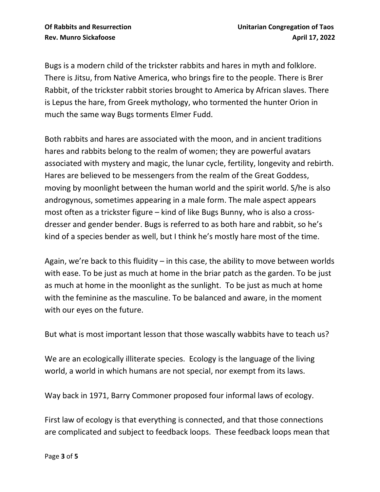Bugs is a modern child of the trickster rabbits and hares in myth and folklore. There is Jitsu, from Native America, who brings fire to the people. There is Brer Rabbit, of the trickster rabbit stories brought to America by African slaves. There is Lepus the hare, from Greek mythology, who tormented the hunter Orion in much the same way Bugs torments Elmer Fudd.

Both rabbits and hares are associated with the moon, and in ancient traditions hares and rabbits belong to the realm of women; they are powerful avatars associated with mystery and magic, the lunar cycle, fertility, longevity and rebirth. Hares are believed to be messengers from the realm of the Great Goddess, moving by moonlight between the human world and the spirit world. S/he is also androgynous, sometimes appearing in a male form. The male aspect appears most often as a trickster figure – kind of like Bugs Bunny, who is also a crossdresser and gender bender. Bugs is referred to as both hare and rabbit, so he's kind of a species bender as well, but I think he's mostly hare most of the time.

Again, we're back to this fluidity – in this case, the ability to move between worlds with ease. To be just as much at home in the briar patch as the garden. To be just as much at home in the moonlight as the sunlight. To be just as much at home with the feminine as the masculine. To be balanced and aware, in the moment with our eyes on the future.

But what is most important lesson that those wascally wabbits have to teach us?

We are an ecologically illiterate species. Ecology is the language of the living world, a world in which humans are not special, nor exempt from its laws.

Way back in 1971, Barry Commoner proposed four informal laws of ecology.

First law of ecology is that everything is connected, and that those connections are complicated and subject to feedback loops. These feedback loops mean that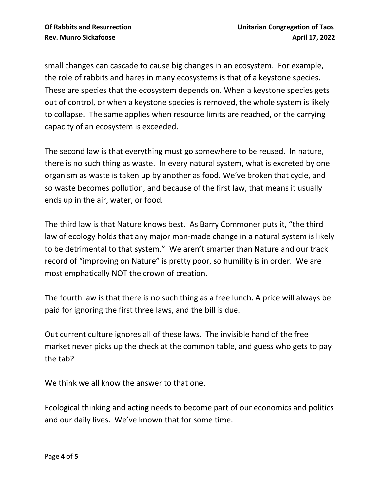small changes can cascade to cause big changes in an ecosystem. For example, the role of rabbits and hares in many ecosystems is that of a keystone species. These are species that the ecosystem depends on. When a keystone species gets out of control, or when a keystone species is removed, the whole system is likely to collapse. The same applies when resource limits are reached, or the carrying capacity of an ecosystem is exceeded.

The second law is that everything must go somewhere to be reused. In nature, there is no such thing as waste. In every natural system, what is excreted by one organism as waste is taken up by another as food. We've broken that cycle, and so waste becomes pollution, and because of the first law, that means it usually ends up in the air, water, or food.

The third law is that Nature knows best. As Barry Commoner puts it, "the third law of ecology holds that any major man-made change in a natural system is likely to be detrimental to that system." We aren't smarter than Nature and our track record of "improving on Nature" is pretty poor, so humility is in order. We are most emphatically NOT the crown of creation.

The fourth law is that there is no such thing as a free lunch. A price will always be paid for ignoring the first three laws, and the bill is due.

Out current culture ignores all of these laws. The invisible hand of the free market never picks up the check at the common table, and guess who gets to pay the tab?

We think we all know the answer to that one.

Ecological thinking and acting needs to become part of our economics and politics and our daily lives. We've known that for some time.